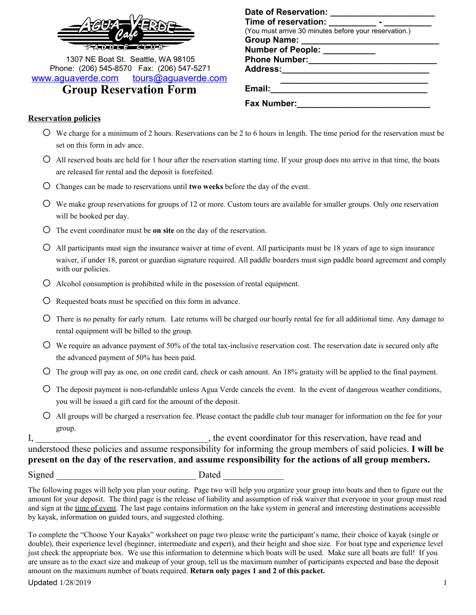

1307 NE Boat St. Seattle, WA 98105 Phone: (206) 545-8570 Fax: (206) 547-5271 [www.aguaverde.com](http://www.aguaverde.com/) [tours@aguaverde.com](mailto:tours@aguaverde.com) **Group Reservation Form**

| <b>Date of Reservation:</b>                           |
|-------------------------------------------------------|
| Time of reservation:                                  |
| (You must arrive 30 minutes before your reservation.) |
| <b>Group Name:</b>                                    |
| Number of People:                                     |
| <b>Phone Number:</b>                                  |
| <b>Address:</b>                                       |
| Email:                                                |
| <b>Fax Number:</b>                                    |

#### **Reservation policies**

- $\circ$  We charge for a minimum of 2 hours. Reservations can be 2 to 6 hours in length. The time period for the reservation must be set on this form in adv ance.
- $\overline{O}$  All reserved boats are held for 1 hour after the reservation starting time. If your group does nto arrive in that time, the boats are released for rental and the deposit is forefeited.
- o Changes can be made to reservations until **two weeks** before the day of the event.
- $\circ$  We make group reservations for groups of 12 or more. Custom tours are available for smaller groups. Only one reservation will be booked per day.
- o The event coordinator must be **on site** on the day of the reservation.
- $\circ$  All participants must sign the insurance waiver at time of event. All participants must be 18 years of age to sign insurance waiver, if under 18, parent or guardian signature required. All paddle boarders must sign paddle board agreement and comply with our policies.
- $\circ$  Alcohol consumption is prohibited while in the posession of rental equipment.
- $\overline{O}$  Requested boats must be specified on this form in advance.
- $\circ$  There is no penalty for early return. Late returns will be charged our hourly rental fee for all additional time. Any damage to rental equipment will be billed to the group.
- o We require an advance payment of 50% of the total tax-inclusive reservation cost. The reservation date is secured only afte the advanced payment of 50% has been paid.
- $\circ$  The group will pay as one, on one credit card, check or cash amount. An 18% gratuity will be applied to the final payment.
- $\circ$  The deposit payment is non-refundable unless Agua Verde cancels the event. In the event of dangerous weather conditions, you will be issued a gift card for the amount of the deposit.
- o All groups will be charged a reservation fee. Please contact the paddle club tour manager for information on the fee for your group.

I, the event coordinator for this reservation, have read and understood these policies and assume responsibility for informing the group members of said policies. **I will be present on the day of the reservation**, **and assume responsibility for the actions of all group members.**

Signed Dated Dated Dated  $\Box$ 

The following pages will help you plan your outing. Page two will help you organize your group into boats and then to figure out the amount for your deposit. The third page is the release of liability and assumption of risk waiver that everyone in your group must read and sign at the time of event. The last page contains information on the lake system in general and interesting destinations accessible by kayak, information on guided tours, and suggested clothing.

To complete the "Choose Your Kayaks" worksheet on page two please write the participant's name, their choice of kayak (single or double), their experience level (beginner, intermediate and expert), and their height and shoe size. For boat type and experience level just check the appropriate box. We use this information to determine which boats will be used. Make sure all boats are full! If you are unsure as to the exact size and makeup of your group, tell us the maximum number of participants expected and base the deposit amount on the maximum number of boats required. **Return only pages 1 and 2 of this packet.**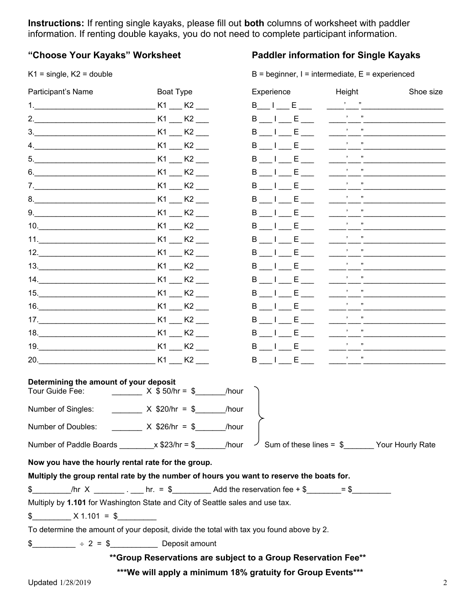**Instructions:** If renting single kayaks, please fill out **both** columns of worksheet with paddler information. If renting double kayaks, you do not need to complete participant information.

# **"Choose Your Kayaks" Worksheet Paddler information for Single Kayaks**

 $K1 =$  single,  $K2 =$  double  $B =$  beginner,  $I =$  intermediate,  $E =$  experienced

| Participant's Name                                                                                                          | Boat Type          | Experience                                                  | Height       | Shoe size |  |
|-----------------------------------------------------------------------------------------------------------------------------|--------------------|-------------------------------------------------------------|--------------|-----------|--|
| 1. The same state $\sim$ 1.                                                                                                 | K1 K2              | B I E                                                       | $\mathbf{r}$ |           |  |
| 2. $\qquad \qquad$                                                                                                          | K1 K2              | B   E                                                       |              |           |  |
| $\overline{\mathbf{3}}$ .                                                                                                   | K1 K2              | <b>B</b> I E                                                |              |           |  |
|                                                                                                                             | K1 K2              | $\blacksquare$ $\blacksquare$ $\blacksquare$<br>В           |              |           |  |
| 5.                                                                                                                          | K1 K2              | B I E                                                       |              |           |  |
| 6.                                                                                                                          | K1 K2              | B I E                                                       |              |           |  |
| 7.                                                                                                                          | K1 K2              | B I E                                                       |              |           |  |
|                                                                                                                             | K1<br>K2           | B I E                                                       |              |           |  |
| 9.                                                                                                                          | K1 K2              | B I E                                                       |              |           |  |
| 10. $\qquad \qquad$                                                                                                         | K1 K2              | B I E                                                       |              |           |  |
|                                                                                                                             | K1 K2              | $\blacksquare$ $\blacksquare$ $\blacksquare$<br>В           |              |           |  |
| 12.                                                                                                                         | $K1$ $K2$ $\qquad$ | B I E                                                       |              |           |  |
|                                                                                                                             | K1 K2              | B I E                                                       |              |           |  |
| 14.                                                                                                                         | K1 K2              | B I E                                                       |              |           |  |
|                                                                                                                             | K1 K2              | B I E                                                       |              |           |  |
|                                                                                                                             |                    | B I E                                                       |              |           |  |
| 17. $\qquad \qquad$                                                                                                         | K1 K2              | B I E                                                       |              |           |  |
| 18. K1 K2                                                                                                                   |                    | $B_1$ $E_2$                                                 |              |           |  |
|                                                                                                                             |                    | B I E                                                       |              |           |  |
|                                                                                                                             |                    | $B$ $I$ $E$ $I$                                             | , 1          |           |  |
| Determining the amount of your deposit<br>Tour Guide Fee:                                                                   | $X$ \$ 50/hr = \$  | /hour                                                       |              |           |  |
| Number of Singles:                                                                                                          | $X$ \$20/hr = \$   | /hour                                                       |              |           |  |
| Number of Doubles:                                                                                                          | $X$ \$26/hr = \$   | /hour                                                       |              |           |  |
| Number of Paddle Boards _________ x \$23/hr = \$________/hour $\frac{1}{2}$ Sum of these lines = \$_______ Your Hourly Rate |                    |                                                             |              |           |  |
| Now you have the hourly rental rate for the group.                                                                          |                    |                                                             |              |           |  |
| Multiply the group rental rate by the number of hours you want to reserve the boats for.                                    |                    |                                                             |              |           |  |
| \$___________/hr X ___________ . ____ hr. = \$____________ Add the reservation fee + \$________= \$__________               |                    |                                                             |              |           |  |
| Multiply by 1.101 for Washington State and City of Seattle sales and use tax.                                               |                    |                                                             |              |           |  |
| $\frac{12}{100}$ X 1.101 = \$                                                                                               |                    |                                                             |              |           |  |
| To determine the amount of your deposit, divide the total with tax you found above by 2.                                    |                    |                                                             |              |           |  |
| $\frac{1}{2}$ = $\frac{1}{2}$ = $\frac{1}{2}$ Deposit amount                                                                |                    |                                                             |              |           |  |
| ** Group Reservations are subject to a Group Reservation Fee**                                                              |                    |                                                             |              |           |  |
|                                                                                                                             |                    | ***We will apply a minimum 18% gratuity for Group Events*** |              |           |  |
| Updated 1/28/2019                                                                                                           |                    |                                                             |              | 2         |  |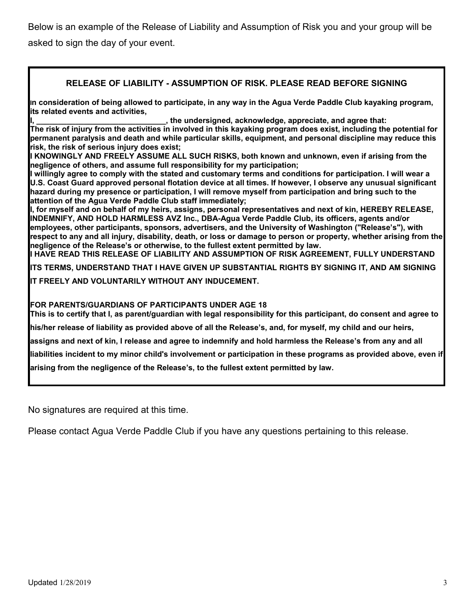Below is an example of the Release of Liability and Assumption of Risk you and your group will be asked to sign the day of your event.

### **RELEASE OF LIABILITY - ASSUMPTION OF RISK. PLEASE READ BEFORE SIGNING**

**In consideration of being allowed to participate, in any way in the Agua Verde Paddle Club kayaking program, its related events and activities,** 

, the undersigned, acknowledge, appreciate, and agree that:

**The risk of injury from the activities in involved in this kayaking program does exist, including the potential for permanent paralysis and death and while particular skills, equipment, and personal discipline may reduce this risk, the risk of serious injury does exist;** 

**I KNOWINGLY AND FREELY ASSUME ALL SUCH RISKS, both known and unknown, even if arising from the negligence of others, and assume full responsibility for my participation;** 

**I willingly agree to comply with the stated and customary terms and conditions for participation. I will wear a U.S. Coast Guard approved personal flotation device at all times. If however, I observe any unusual significant hazard during my presence or participation, I will remove myself from participation and bring such to the attention of the Agua Verde Paddle Club staff immediately;**

**I, for myself and on behalf of my heirs, assigns, personal representatives and next of kin, HEREBY RELEASE, INDEMNIFY, AND HOLD HARMLESS AVZ Inc., DBA-Agua Verde Paddle Club, its officers, agents and/or employees, other participants, sponsors, advertisers, and the University of Washington ("Release's"), with respect to any and all injury, disability, death, or loss or damage to person or property, whether arising from the negligence of the Release's or otherwise, to the fullest extent permitted by law. I HAVE READ THIS RELEASE OF LIABILITY AND ASSUMPTION OF RISK AGREEMENT, FULLY UNDERSTAND** 

**ITS TERMS, UNDERSTAND THAT I HAVE GIVEN UP SUBSTANTIAL RIGHTS BY SIGNING IT, AND AM SIGNING IT FREELY AND VOLUNTARILY WITHOUT ANY INDUCEMENT.**

**FOR PARENTS/GUARDIANS OF PARTICIPANTS UNDER AGE 18**

**This is to certify that I, as parent/guardian with legal responsibility for this participant, do consent and agree to** 

**his/her release of liability as provided above of all the Release's, and, for myself, my child and our heirs,** 

**assigns and next of kin, I release and agree to indemnify and hold harmless the Release's from any and all** 

**liabilities incident to my minor child's involvement or participation in these programs as provided above, even if arising from the negligence of the Release's, to the fullest extent permitted by law.**

No signatures are required at this time.

Please contact Agua Verde Paddle Club if you have any questions pertaining to this release.